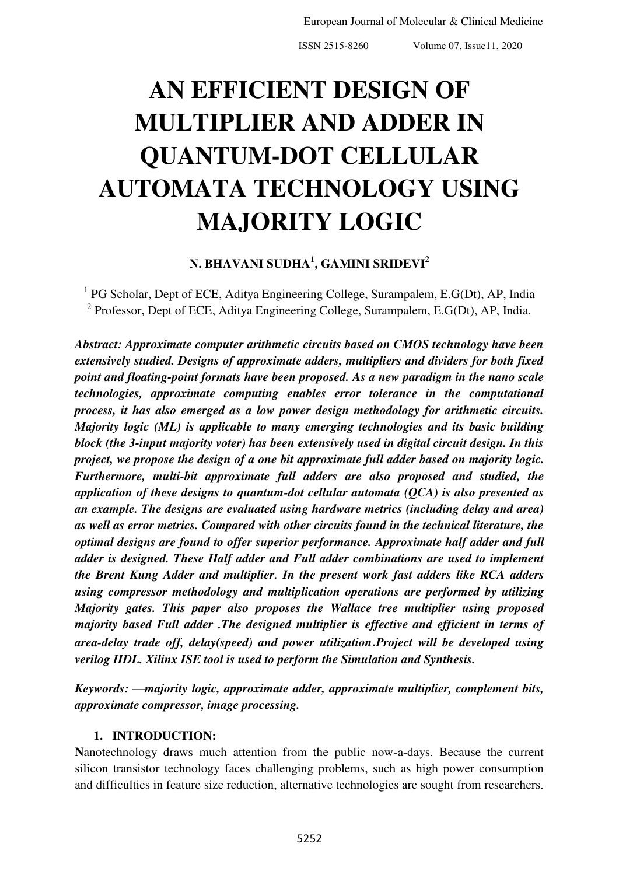# **AN EFFICIENT DESIGN OF MULTIPLIER AND ADDER IN QUANTUM-DOT CELLULAR AUTOMATA TECHNOLOGY USING MAJORITY LOGIC**

# **N. BHAVANI SUDHA<sup>1</sup> , GAMINI SRIDEVI<sup>2</sup>**

<sup>1</sup> PG Scholar, Dept of ECE, Aditya Engineering College, Surampalem, E.G(Dt), AP, India  $2$  Professor, Dept of ECE, Aditya Engineering College, Surampalem, E.G(Dt), AP, India.

*Abstract: Approximate computer arithmetic circuits based on CMOS technology have been extensively studied. Designs of approximate adders, multipliers and dividers for both fixed point and floating-point formats have been proposed. As a new paradigm in the nano scale technologies, approximate computing enables error tolerance in the computational process, it has also emerged as a low power design methodology for arithmetic circuits. Majority logic (ML) is applicable to many emerging technologies and its basic building block (the 3-input majority voter) has been extensively used in digital circuit design. In this project, we propose the design of a one bit approximate full adder based on majority logic. Furthermore, multi-bit approximate full adders are also proposed and studied, the application of these designs to quantum-dot cellular automata (QCA) is also presented as an example. The designs are evaluated using hardware metrics (including delay and area) as well as error metrics. Compared with other circuits found in the technical literature, the optimal designs are found to offer superior performance. Approximate half adder and full adder is designed. These Half adder and Full adder combinations are used to implement the Brent Kung Adder and multiplier. In the present work fast adders like RCA adders using compressor methodology and multiplication operations are performed by utilizing Majority gates. This paper also proposes the Wallace tree multiplier using proposed majority based Full adder .The designed multiplier is effective and efficient in terms of area-delay trade off, delay(speed) and power utilization***.***Project will be developed using verilog HDL. Xilinx ISE tool is used to perform the Simulation and Synthesis.* 

*Keywords: —majority logic, approximate adder, approximate multiplier, complement bits, approximate compressor, image processing.* 

## **1. INTRODUCTION:**

**N**anotechnology draws much attention from the public now-a-days. Because the current silicon transistor technology faces challenging problems, such as high power consumption and difficulties in feature size reduction, alternative technologies are sought from researchers.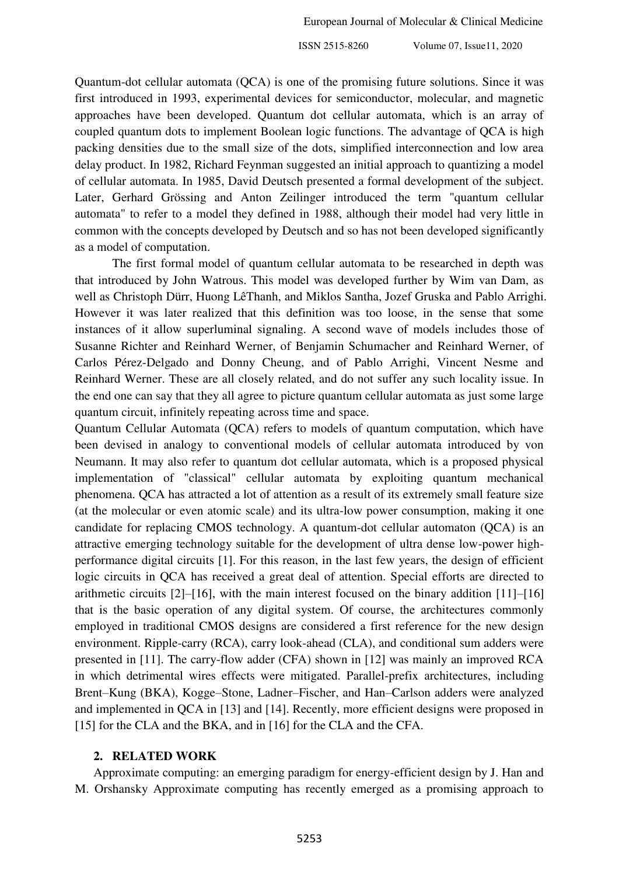Quantum-dot cellular automata (QCA) is one of the promising future solutions. Since it was first introduced in 1993, experimental devices for semiconductor, molecular, and magnetic approaches have been developed. Quantum dot cellular automata, which is an array of coupled quantum dots to implement Boolean logic functions. The advantage of QCA is high packing densities due to the small size of the dots, simplified interconnection and low area delay product. In 1982, Richard Feynman suggested an initial approach to quantizing a model of cellular automata. In 1985, David Deutsch presented a formal development of the subject. Later, Gerhard Grössing and Anton Zeilinger introduced the term "quantum cellular automata" to refer to a model they defined in 1988, although their model had very little in common with the concepts developed by Deutsch and so has not been developed significantly as a model of computation.

The first formal model of quantum cellular automata to be researched in depth was that introduced by John Watrous. This model was developed further by Wim van Dam, as well as Christoph Dürr, Huong LêThanh, and Miklos Santha, Jozef Gruska and Pablo Arrighi. However it was later realized that this definition was too loose, in the sense that some instances of it allow superluminal signaling. A second wave of models includes those of Susanne Richter and Reinhard Werner, of Benjamin Schumacher and Reinhard Werner, of Carlos Pérez-Delgado and Donny Cheung, and of Pablo Arrighi, Vincent Nesme and Reinhard Werner. These are all closely related, and do not suffer any such locality issue. In the end one can say that they all agree to picture quantum cellular automata as just some large quantum circuit, infinitely repeating across time and space.

Quantum Cellular Automata (QCA) refers to models of quantum computation, which have been devised in analogy to conventional models of cellular automata introduced by von Neumann. It may also refer to quantum dot cellular automata, which is a proposed physical implementation of "classical" cellular automata by exploiting quantum mechanical phenomena. QCA has attracted a lot of attention as a result of its extremely small feature size (at the molecular or even atomic scale) and its ultra-low power consumption, making it one candidate for replacing CMOS technology. A quantum-dot cellular automaton (QCA) is an attractive emerging technology suitable for the development of ultra dense low-power highperformance digital circuits [1]. For this reason, in the last few years, the design of efficient logic circuits in QCA has received a great deal of attention. Special efforts are directed to arithmetic circuits [2]–[16], with the main interest focused on the binary addition [11]–[16] that is the basic operation of any digital system. Of course, the architectures commonly employed in traditional CMOS designs are considered a first reference for the new design environment. Ripple-carry (RCA), carry look-ahead (CLA), and conditional sum adders were presented in [11]. The carry-flow adder (CFA) shown in [12] was mainly an improved RCA in which detrimental wires effects were mitigated. Parallel-prefix architectures, including Brent–Kung (BKA), Kogge–Stone, Ladner–Fischer, and Han–Carlson adders were analyzed and implemented in QCA in [13] and [14]. Recently, more efficient designs were proposed in [15] for the CLA and the BKA, and in [16] for the CLA and the CFA.

### **2. RELATED WORK**

Approximate computing: an emerging paradigm for energy-efficient design by J. Han and M. Orshansky Approximate computing has recently emerged as a promising approach to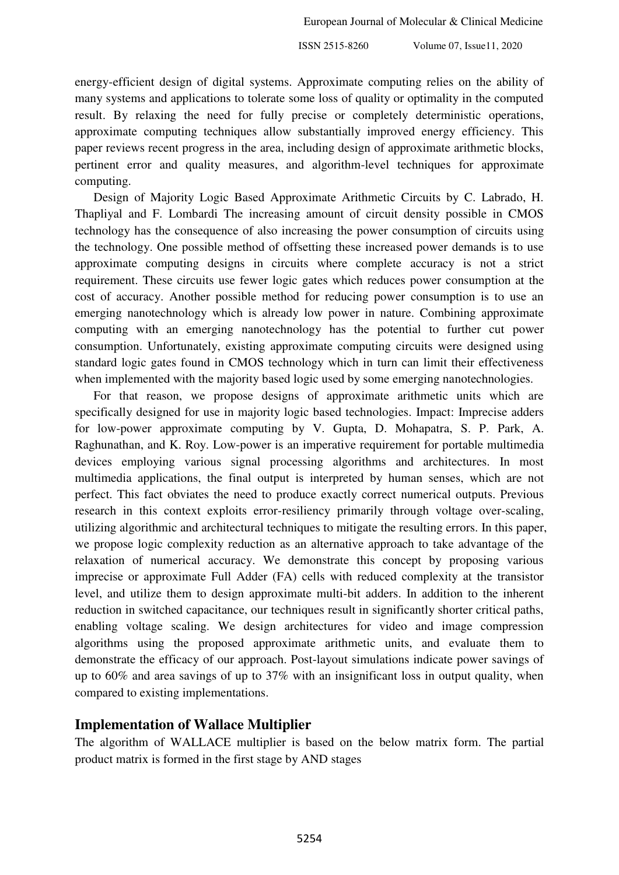energy-efficient design of digital systems. Approximate computing relies on the ability of many systems and applications to tolerate some loss of quality or optimality in the computed result. By relaxing the need for fully precise or completely deterministic operations, approximate computing techniques allow substantially improved energy efficiency. This paper reviews recent progress in the area, including design of approximate arithmetic blocks, pertinent error and quality measures, and algorithm-level techniques for approximate computing.

Design of Majority Logic Based Approximate Arithmetic Circuits by C. Labrado, H. Thapliyal and F. Lombardi The increasing amount of circuit density possible in CMOS technology has the consequence of also increasing the power consumption of circuits using the technology. One possible method of offsetting these increased power demands is to use approximate computing designs in circuits where complete accuracy is not a strict requirement. These circuits use fewer logic gates which reduces power consumption at the cost of accuracy. Another possible method for reducing power consumption is to use an emerging nanotechnology which is already low power in nature. Combining approximate computing with an emerging nanotechnology has the potential to further cut power consumption. Unfortunately, existing approximate computing circuits were designed using standard logic gates found in CMOS technology which in turn can limit their effectiveness when implemented with the majority based logic used by some emerging nanotechnologies.

For that reason, we propose designs of approximate arithmetic units which are specifically designed for use in majority logic based technologies. Impact: Imprecise adders for low-power approximate computing by V. Gupta, D. Mohapatra, S. P. Park, A. Raghunathan, and K. Roy. Low-power is an imperative requirement for portable multimedia devices employing various signal processing algorithms and architectures. In most multimedia applications, the final output is interpreted by human senses, which are not perfect. This fact obviates the need to produce exactly correct numerical outputs. Previous research in this context exploits error-resiliency primarily through voltage over-scaling, utilizing algorithmic and architectural techniques to mitigate the resulting errors. In this paper, we propose logic complexity reduction as an alternative approach to take advantage of the relaxation of numerical accuracy. We demonstrate this concept by proposing various imprecise or approximate Full Adder (FA) cells with reduced complexity at the transistor level, and utilize them to design approximate multi-bit adders. In addition to the inherent reduction in switched capacitance, our techniques result in significantly shorter critical paths, enabling voltage scaling. We design architectures for video and image compression algorithms using the proposed approximate arithmetic units, and evaluate them to demonstrate the efficacy of our approach. Post-layout simulations indicate power savings of up to 60% and area savings of up to 37% with an insignificant loss in output quality, when compared to existing implementations.

# **Implementation of Wallace Multiplier**

The algorithm of WALLACE multiplier is based on the below matrix form. The partial product matrix is formed in the first stage by AND stages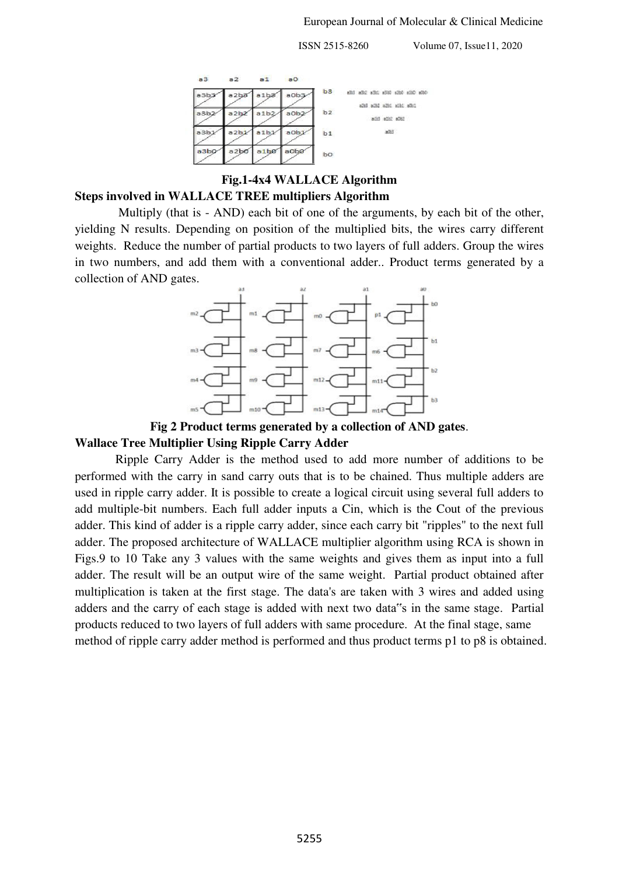

# **Fig.1-4x4 WALLACE Algorithm Steps involved in WALLACE TREE multipliers Algorithm**

 Multiply (that is - AND) each bit of one of the arguments, by each bit of the other, yielding N results. Depending on position of the multiplied bits, the wires carry different weights. Reduce the number of partial products to two layers of full adders. Group the wires in two numbers, and add them with a conventional adder.. Product terms generated by a collection of AND gates.



**Fig 2 Product terms generated by a collection of AND gates**. **Wallace Tree Multiplier Using Ripple Carry Adder** 

 Ripple Carry Adder is the method used to add more number of additions to be performed with the carry in sand carry outs that is to be chained. Thus multiple adders are used in ripple carry adder. It is possible to create a logical circuit using several full adders to add multiple-bit numbers. Each full adder inputs a Cin, which is the Cout of the previous adder. This kind of adder is a ripple carry adder, since each carry bit "ripples" to the next full adder. The proposed architecture of WALLACE multiplier algorithm using RCA is shown in Figs.9 to 10 Take any 3 values with the same weights and gives them as input into a full adder. The result will be an output wire of the same weight. Partial product obtained after multiplication is taken at the first stage. The data's are taken with 3 wires and added using adders and the carry of each stage is added with next two data"s in the same stage. Partial products reduced to two layers of full adders with same procedure. At the final stage, same method of ripple carry adder method is performed and thus product terms p1 to p8 is obtained.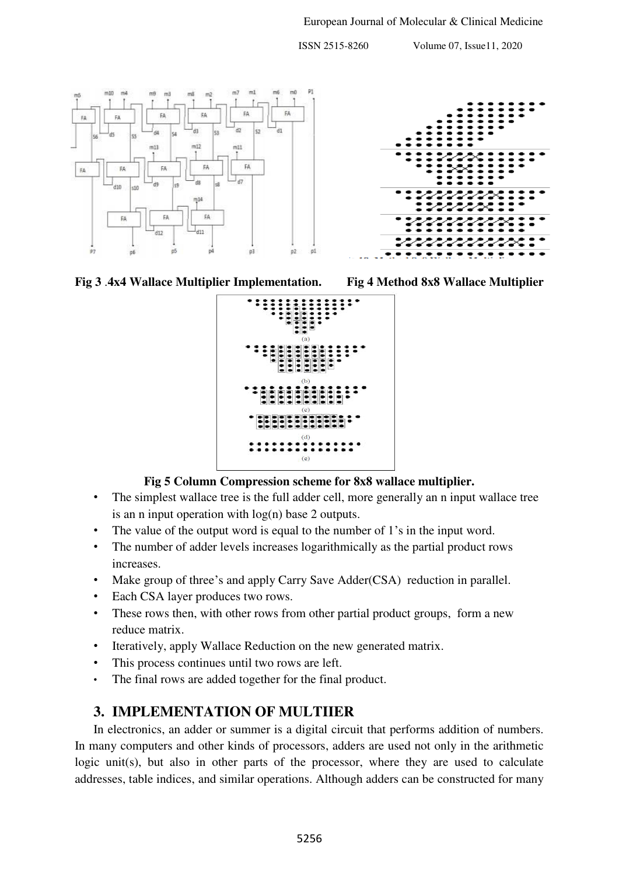

**Fig 3** .**4x4 Wallace Multiplier Implementation. Fig 4 Method 8x8 Wallace Multiplier** 





## **Fig 5 Column Compression scheme for 8x8 wallace multiplier.**

- The simplest wallace tree is the full adder cell, more generally an n input wallace tree is an n input operation with log(n) base 2 outputs.
- The value of the output word is equal to the number of 1's in the input word.
- The number of adder levels increases logarithmically as the partial product rows increases.
- Make group of three's and apply Carry Save Adder(CSA) reduction in parallel.
- Each CSA layer produces two rows.
- These rows then, with other rows from other partial product groups, form a new reduce matrix.
- Iteratively, apply Wallace Reduction on the new generated matrix.
- This process continues until two rows are left.
- The final rows are added together for the final product.

# **3. IMPLEMENTATION OF MULTIIER**

In electronics, an adder or summer is a digital circuit that performs addition of numbers. In many computers and other kinds of processors, adders are used not only in the arithmetic logic unit(s), but also in other parts of the processor, where they are used to calculate addresses, table indices, and similar operations. Although adders can be constructed for many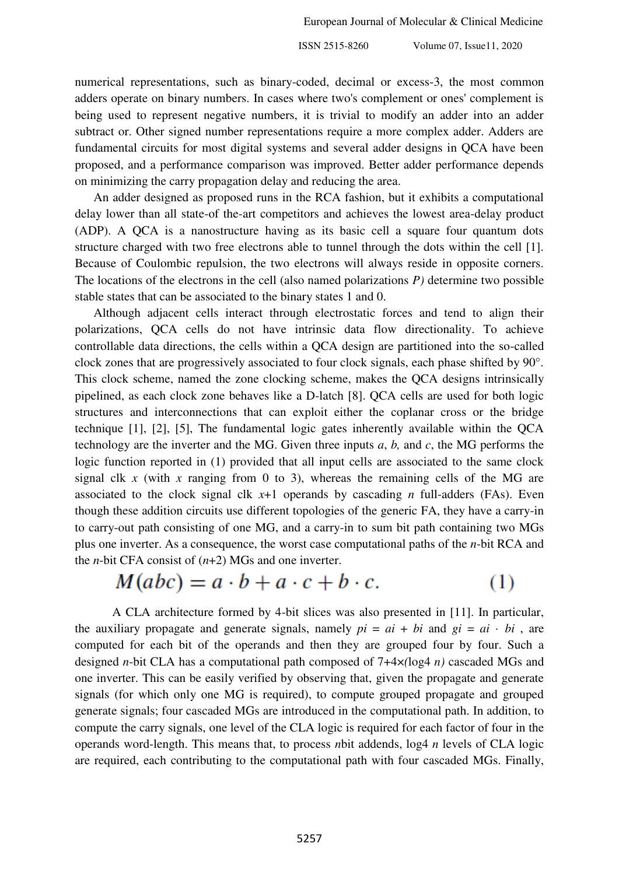numerical representations, such as binary-coded, decimal or excess-3, the most common adders operate on binary numbers. In cases where two's complement or ones' complement is being used to represent negative numbers, it is trivial to modify an adder into an adder subtract or. Other signed number representations require a more complex adder. Adders are fundamental circuits for most digital systems and several adder designs in QCA have been proposed, and a performance comparison was improved. Better adder performance depends on minimizing the carry propagation delay and reducing the area.

An adder designed as proposed runs in the RCA fashion, but it exhibits a computational delay lower than all state-of the-art competitors and achieves the lowest area-delay product (ADP). A QCA is a nanostructure having as its basic cell a square four quantum dots structure charged with two free electrons able to tunnel through the dots within the cell [1]. Because of Coulombic repulsion, the two electrons will always reside in opposite corners. The locations of the electrons in the cell (also named polarizations *P)* determine two possible stable states that can be associated to the binary states 1 and 0.

Although adjacent cells interact through electrostatic forces and tend to align their polarizations, QCA cells do not have intrinsic data flow directionality. To achieve controllable data directions, the cells within a QCA design are partitioned into the so-called clock zones that are progressively associated to four clock signals, each phase shifted by 90°. This clock scheme, named the zone clocking scheme, makes the QCA designs intrinsically pipelined, as each clock zone behaves like a D-latch [8]. QCA cells are used for both logic structures and interconnections that can exploit either the coplanar cross or the bridge technique [1], [2], [5], The fundamental logic gates inherently available within the QCA technology are the inverter and the MG. Given three inputs *a*, *b,* and *c*, the MG performs the logic function reported in (1) provided that all input cells are associated to the same clock signal clk  $x$  (with  $x$  ranging from 0 to 3), whereas the remaining cells of the MG are associated to the clock signal clk  $x+1$  operands by cascading *n* full-adders (FAs). Even though these addition circuits use different topologies of the generic FA, they have a carry-in to carry-out path consisting of one MG, and a carry-in to sum bit path containing two MGs plus one inverter. As a consequence, the worst case computational paths of the *n*-bit RCA and the *n*-bit CFA consist of (*n*+2) MGs and one inverter.

$$
M(abc) = a \cdot b + a \cdot c + b \cdot c. \tag{1}
$$

A CLA architecture formed by 4-bit slices was also presented in [11]. In particular, the auxiliary propagate and generate signals, namely  $pi = ai + bi$  and  $gi = ai \cdot bi$ , are computed for each bit of the operands and then they are grouped four by four. Such a designed *n*-bit CLA has a computational path composed of 7+4×*(*log4 *n)* cascaded MGs and one inverter. This can be easily verified by observing that, given the propagate and generate signals (for which only one MG is required), to compute grouped propagate and grouped generate signals; four cascaded MGs are introduced in the computational path. In addition, to compute the carry signals, one level of the CLA logic is required for each factor of four in the operands word-length. This means that, to process *n*bit addends, log4 *n* levels of CLA logic are required, each contributing to the computational path with four cascaded MGs. Finally,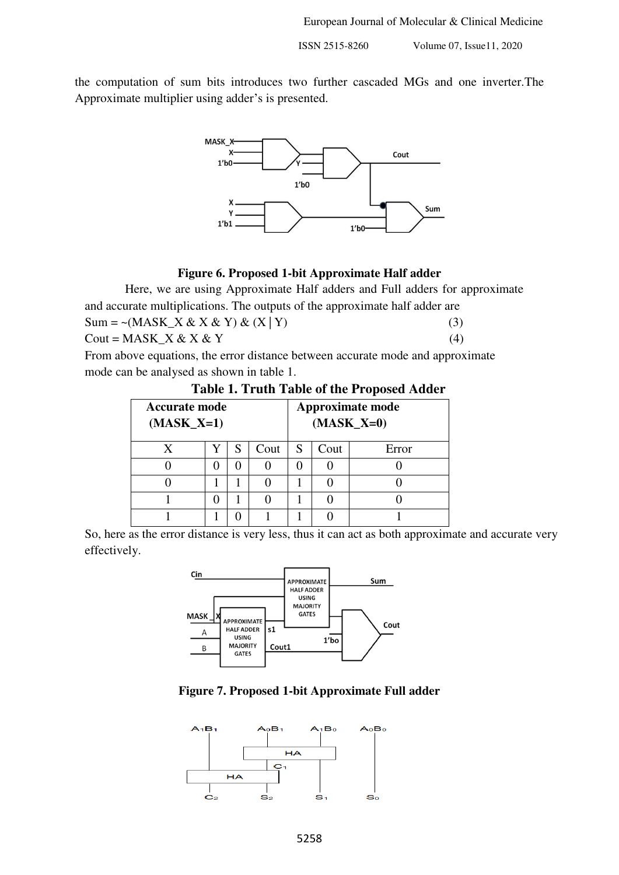the computation of sum bits introduces two further cascaded MGs and one inverter.The Approximate multiplier using adder's is presented.



#### **Figure 6. Proposed 1-bit Approximate Half adder**

Here, we are using Approximate Half adders and Full adders for approximate and accurate multiplications. The outputs of the approximate half adder are

 $Sum = \sim (MASK_X & X & Y) & (X | Y)$  (3)

 $Cout = MAXX \& X \& Y$  (4)

From above equations, the error distance between accurate mode and approximate mode can be analysed as shown in table 1.

| TWOTE IT IT WAS TWOTE OF THE IT OPODER THRUET |  |   |      |                                         |      |       |  |  |  |
|-----------------------------------------------|--|---|------|-----------------------------------------|------|-------|--|--|--|
| <b>Accurate mode</b><br>$(MASK_X=1)$          |  |   |      | <b>Approximate mode</b><br>$(MASK_X=0)$ |      |       |  |  |  |
| X                                             |  | S | Cout | S                                       | Cout | Error |  |  |  |
|                                               |  |   |      |                                         |      |       |  |  |  |
|                                               |  |   |      |                                         |      |       |  |  |  |
|                                               |  |   |      |                                         |      |       |  |  |  |
|                                               |  |   |      |                                         |      |       |  |  |  |

#### **Table 1. Truth Table of the Proposed Adder**

So, here as the error distance is very less, thus it can act as both approximate and accurate very effectively.





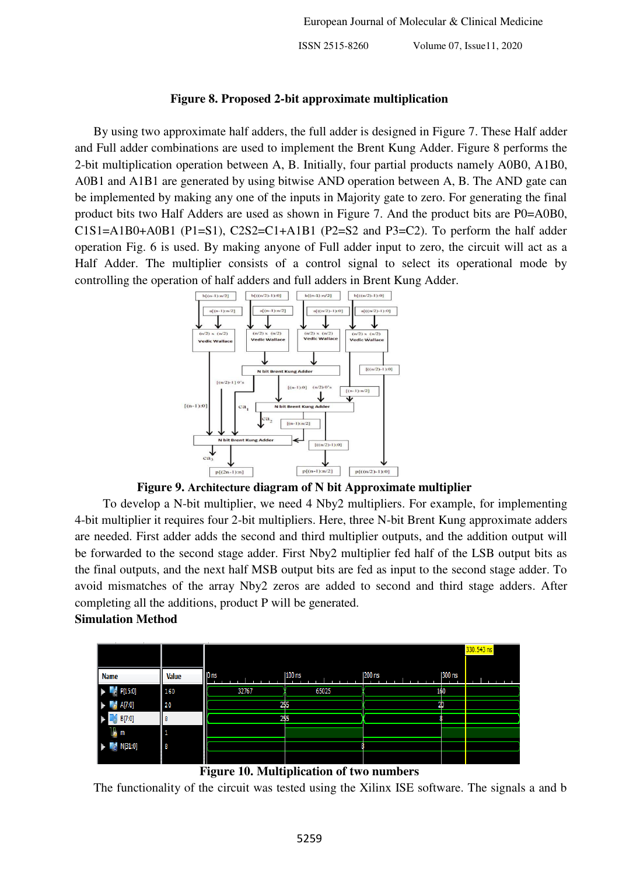# **Figure 8. Proposed 2-bit approximate multiplication**

By using two approximate half adders, the full adder is designed in Figure 7. These Half adder and Full adder combinations are used to implement the Brent Kung Adder. Figure 8 performs the 2-bit multiplication operation between A, B. Initially, four partial products namely A0B0, A1B0, A0B1 and A1B1 are generated by using bitwise AND operation between A, B. The AND gate can be implemented by making any one of the inputs in Majority gate to zero. For generating the final product bits two Half Adders are used as shown in Figure 7. And the product bits are P0=A0B0, C1S1=A1B0+A0B1 (P1=S1), C2S2=C1+A1B1 (P2=S2 and P3=C2). To perform the half adder operation Fig. 6 is used. By making anyone of Full adder input to zero, the circuit will act as a Half Adder. The multiplier consists of a control signal to select its operational mode by controlling the operation of half adders and full adders in Brent Kung Adder.



**Figure 9. Architecture diagram of N bit Approximate multiplier** 

To develop a N-bit multiplier, we need 4 Nby2 multipliers. For example, for implementing 4-bit multiplier it requires four 2-bit multipliers. Here, three N-bit Brent Kung approximate adders are needed. First adder adds the second and third multiplier outputs, and the addition output will be forwarded to the second stage adder. First Nby2 multiplier fed half of the LSB output bits as the final outputs, and the next half MSB output bits are fed as input to the second stage adder. To avoid mismatches of the array Nby2 zeros are added to second and third stage adders. After completing all the additions, product P will be generated. **Sim** 

|             |              |                     |          |                |        | 330.543 ns |
|-------------|--------------|---------------------|----------|----------------|--------|------------|
| <b>Name</b> | <b>Value</b> | $\blacksquare$ 0 ns | $100$ ns | 200 ns         | 300 ns |            |
| P[15:0]     | 160          | 32767               | 65025    | 160            |        |            |
| A[7:0]      | 20           |                     | 255      | 2 <sub>D</sub> |        |            |
| B[7:0]      |              |                     | 255      |                |        |            |
| m           |              |                     |          |                |        |            |
| N[31:0]     | 8            |                     |          |                |        |            |
|             |              |                     |          |                |        |            |

The functionality of the circuit was tested using the Xilinx ISE software. The signals a and b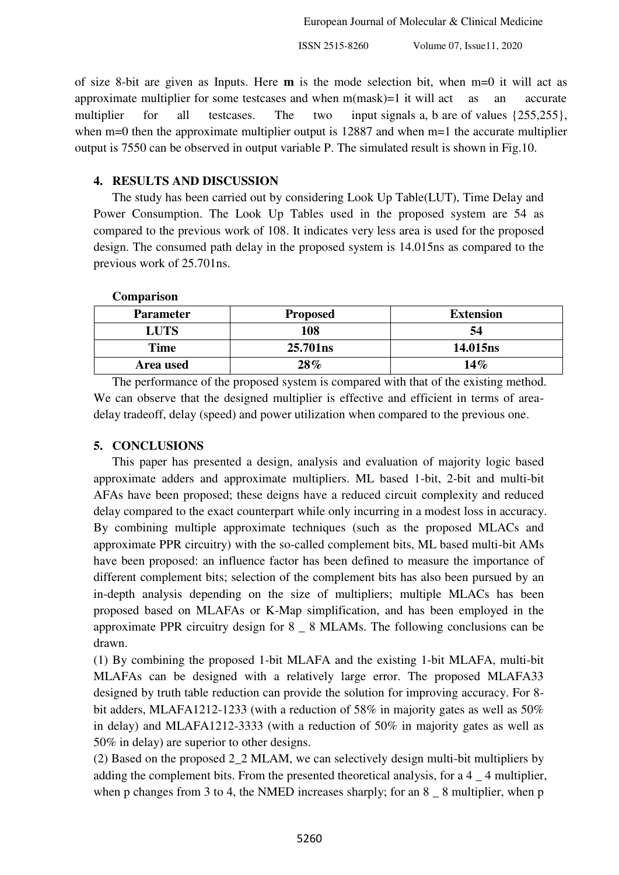of size 8-bit are given as Inputs. Here **m** is the mode selection bit, when m=0 it will act as approximate multiplier for some testcases and when m(mask)=1 it will act as an accurate multiplier for all testcases. The two input signals a, b are of values {255,255}, when m=0 then the approximate multiplier output is 12887 and when m=1 the accurate multiplier output is 7550 can be observed in output variable P. The simulated result is shown in Fig.10.

# **4. RESULTS AND DISCUSSION**

The study has been carried out by considering Look Up Table(LUT), Time Delay and Power Consumption. The Look Up Tables used in the proposed system are 54 as compared to the previous work of 108. It indicates very less area is used for the proposed design. The consumed path delay in the proposed system is 14.015ns as compared to the previous work of 25.701ns.

| <b>Parameter</b> | <b>Proposed</b>      | <b>Extension</b>     |
|------------------|----------------------|----------------------|
| <b>LUTS</b>      | 108                  | 54                   |
| <b>Time</b>      | 25.701 <sub>ns</sub> | 14.015 <sub>ns</sub> |
| Area used        | $28\%$               | 14%                  |

#### **Comparison**

The performance of the proposed system is compared with that of the existing method. We can observe that the designed multiplier is effective and efficient in terms of areadelay tradeoff, delay (speed) and power utilization when compared to the previous one.

## **5. CONCLUSIONS**

This paper has presented a design, analysis and evaluation of majority logic based approximate adders and approximate multipliers. ML based 1-bit, 2-bit and multi-bit AFAs have been proposed; these deigns have a reduced circuit complexity and reduced delay compared to the exact counterpart while only incurring in a modest loss in accuracy. By combining multiple approximate techniques (such as the proposed MLACs and approximate PPR circuitry) with the so-called complement bits, ML based multi-bit AMs have been proposed: an influence factor has been defined to measure the importance of different complement bits; selection of the complement bits has also been pursued by an in-depth analysis depending on the size of multipliers; multiple MLACs has been proposed based on MLAFAs or K-Map simplification, and has been employed in the approximate PPR circuitry design for 8 \_ 8 MLAMs. The following conclusions can be drawn.

(1) By combining the proposed 1-bit MLAFA and the existing 1-bit MLAFA, multi-bit MLAFAs can be designed with a relatively large error. The proposed MLAFA33 designed by truth table reduction can provide the solution for improving accuracy. For 8 bit adders, MLAFA1212-1233 (with a reduction of 58% in majority gates as well as 50% in delay) and MLAFA1212-3333 (with a reduction of 50% in majority gates as well as 50% in delay) are superior to other designs.

(2) Based on the proposed 2\_2 MLAM, we can selectively design multi-bit multipliers by adding the complement bits. From the presented theoretical analysis, for a 4  $\pm$  4 multiplier, when p changes from 3 to 4, the NMED increases sharply; for an  $8\text{ }$  8 multiplier, when p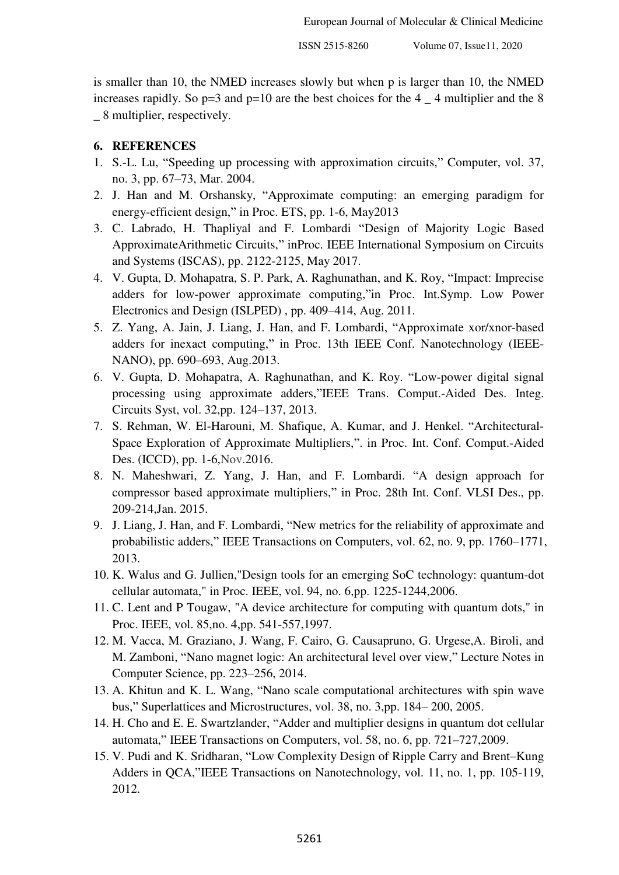is smaller than 10, the NMED increases slowly but when p is larger than 10, the NMED increases rapidly. So  $p=3$  and  $p=10$  are the best choices for the 4  $\pm$  4 multiplier and the 8 \_ 8 multiplier, respectively.

# **6. REFERENCES**

- 1. S.-L. Lu, "Speeding up processing with approximation circuits," Computer, vol. 37, no. 3, pp. 67–73, Mar. 2004.
- 2. J. Han and M. Orshansky, "Approximate computing: an emerging paradigm for energy-efficient design," in Proc. ETS, pp. 1-6, May2013
- 3. C. Labrado, H. Thapliyal and F. Lombardi "Design of Majority Logic Based ApproximateArithmetic Circuits," inProc. IEEE International Symposium on Circuits and Systems (ISCAS), pp. 2122-2125, May 2017.
- 4. V. Gupta, D. Mohapatra, S. P. Park, A. Raghunathan, and K. Roy, "Impact: Imprecise adders for low-power approximate computing,"in Proc. Int.Symp. Low Power Electronics and Design (ISLPED) , pp. 409–414, Aug. 2011.
- 5. Z. Yang, A. Jain, J. Liang, J. Han, and F. Lombardi, "Approximate xor/xnor-based adders for inexact computing," in Proc. 13th IEEE Conf. Nanotechnology (IEEE-NANO), pp. 690–693, Aug.2013.
- 6. V. Gupta, D. Mohapatra, A. Raghunathan, and K. Roy. "Low-power digital signal processing using approximate adders,"IEEE Trans. Comput.-Aided Des. Integ. Circuits Syst, vol. 32,pp. 124–137, 2013.
- 7. S. Rehman, W. El-Harouni, M. Shafique, A. Kumar, and J. Henkel. "Architectural-Space Exploration of Approximate Multipliers,". in Proc. Int. Conf. Comput.-Aided Des. (ICCD), pp. 1-6,Nov.2016.
- 8. N. Maheshwari, Z. Yang, J. Han, and F. Lombardi. "A design approach for compressor based approximate multipliers," in Proc. 28th Int. Conf. VLSI Des., pp. 209-214,Jan. 2015.
- 9. J. Liang, J. Han, and F. Lombardi, "New metrics for the reliability of approximate and probabilistic adders," IEEE Transactions on Computers, vol. 62, no. 9, pp. 1760–1771, 2013.
- 10. K. Walus and G. Jullien,"Design tools for an emerging SoC technology: quantum-dot cellular automata," in Proc. IEEE, vol. 94, no. 6,pp. 1225-1244,2006.
- 11. C. Lent and P Tougaw, "A device architecture for computing with quantum dots," in Proc. IEEE, vol. 85,no. 4,pp. 541-557,1997.
- 12. M. Vacca, M. Graziano, J. Wang, F. Cairo, G. Causapruno, G. Urgese,A. Biroli, and M. Zamboni, "Nano magnet logic: An architectural level over view," Lecture Notes in Computer Science, pp. 223–256, 2014.
- 13. A. Khitun and K. L. Wang, "Nano scale computational architectures with spin wave bus," Superlattices and Microstructures, vol. 38, no. 3,pp. 184– 200, 2005.
- 14. H. Cho and E. E. Swartzlander, "Adder and multiplier designs in quantum dot cellular automata," IEEE Transactions on Computers, vol. 58, no. 6, pp. 721–727,2009.
- 15. V. Pudi and K. Sridharan, "Low Complexity Design of Ripple Carry and Brent–Kung Adders in QCA,"IEEE Transactions on Nanotechnology, vol. 11, no. 1, pp. 105-119, 2012.